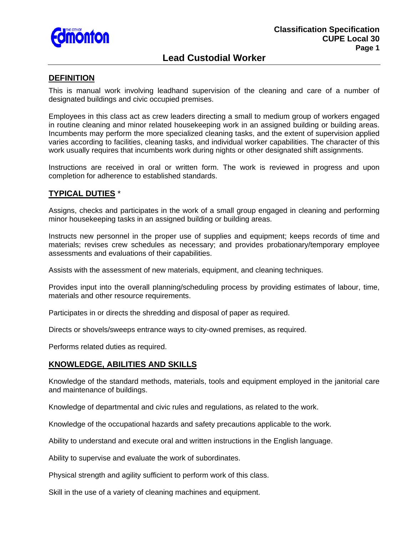

# **Lead Custodial Worker**

### **DEFINITION**

This is manual work involving leadhand supervision of the cleaning and care of a number of designated buildings and civic occupied premises.

Employees in this class act as crew leaders directing a small to medium group of workers engaged in routine cleaning and minor related housekeeping work in an assigned building or building areas. Incumbents may perform the more specialized cleaning tasks, and the extent of supervision applied varies according to facilities, cleaning tasks, and individual worker capabilities. The character of this work usually requires that incumbents work during nights or other designated shift assignments.

Instructions are received in oral or written form. The work is reviewed in progress and upon completion for adherence to established standards.

## **TYPICAL DUTIES** \*

Assigns, checks and participates in the work of a small group engaged in cleaning and performing minor housekeeping tasks in an assigned building or building areas.

Instructs new personnel in the proper use of supplies and equipment; keeps records of time and materials; revises crew schedules as necessary; and provides probationary/temporary employee assessments and evaluations of their capabilities.

Assists with the assessment of new materials, equipment, and cleaning techniques.

Provides input into the overall planning/scheduling process by providing estimates of labour, time, materials and other resource requirements.

Participates in or directs the shredding and disposal of paper as required.

Directs or shovels/sweeps entrance ways to city-owned premises, as required.

Performs related duties as required.

### **KNOWLEDGE, ABILITIES AND SKILLS**

Knowledge of the standard methods, materials, tools and equipment employed in the janitorial care and maintenance of buildings.

Knowledge of departmental and civic rules and regulations, as related to the work.

Knowledge of the occupational hazards and safety precautions applicable to the work.

Ability to understand and execute oral and written instructions in the English language.

Ability to supervise and evaluate the work of subordinates.

Physical strength and agility sufficient to perform work of this class.

Skill in the use of a variety of cleaning machines and equipment.